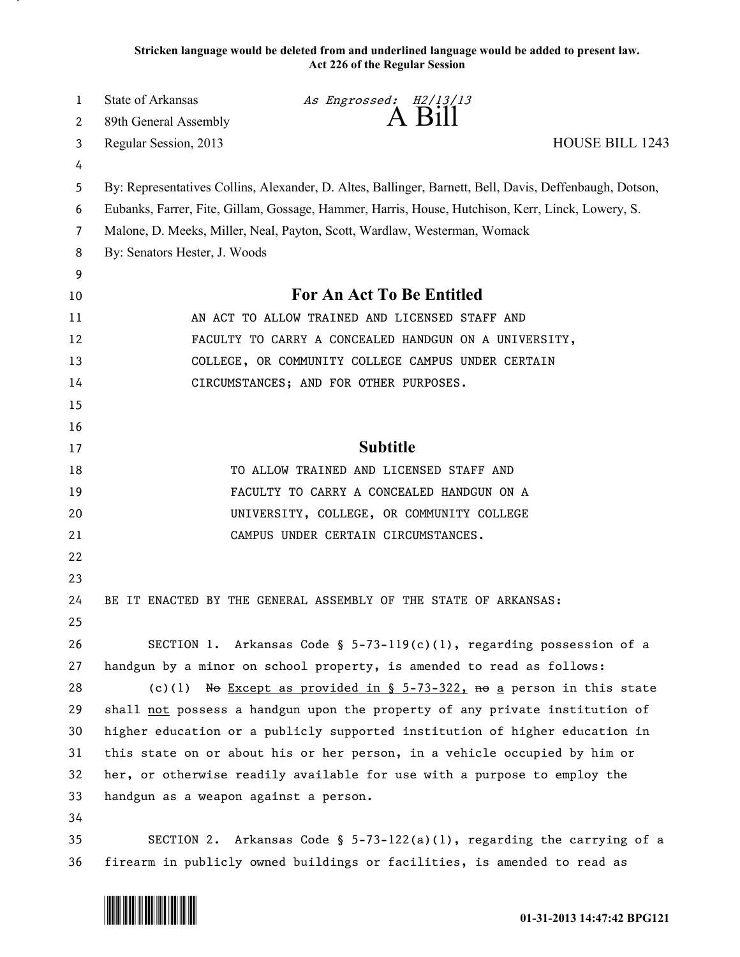**Stricken language would be deleted from and underlined language would be added to present law. Act 226 of the Regular Session**

| $\mathbf{1}$   | <b>State of Arkansas</b>                                                                                | As Engrossed: H2/13/13                                                   |                                                                           |  |
|----------------|---------------------------------------------------------------------------------------------------------|--------------------------------------------------------------------------|---------------------------------------------------------------------------|--|
| 2              | 89th General Assembly                                                                                   | A Bill                                                                   |                                                                           |  |
| 3              | Regular Session, 2013                                                                                   |                                                                          | <b>HOUSE BILL 1243</b>                                                    |  |
| 4              |                                                                                                         |                                                                          |                                                                           |  |
| 5              | By: Representatives Collins, Alexander, D. Altes, Ballinger, Barnett, Bell, Davis, Deffenbaugh, Dotson, |                                                                          |                                                                           |  |
| 6              | Eubanks, Farrer, Fite, Gillam, Gossage, Hammer, Harris, House, Hutchison, Kerr, Linck, Lowery, S.       |                                                                          |                                                                           |  |
| $\overline{7}$ | Malone, D. Meeks, Miller, Neal, Payton, Scott, Wardlaw, Westerman, Womack                               |                                                                          |                                                                           |  |
| 8              | By: Senators Hester, J. Woods                                                                           |                                                                          |                                                                           |  |
| 9              |                                                                                                         |                                                                          |                                                                           |  |
| 10             | <b>For An Act To Be Entitled</b>                                                                        |                                                                          |                                                                           |  |
| 11             |                                                                                                         | AN ACT TO ALLOW TRAINED AND LICENSED STAFF AND                           |                                                                           |  |
| 12             | FACULTY TO CARRY A CONCEALED HANDGUN ON A UNIVERSITY,                                                   |                                                                          |                                                                           |  |
| 13             | COLLEGE, OR COMMUNITY COLLEGE CAMPUS UNDER CERTAIN                                                      |                                                                          |                                                                           |  |
| 14             |                                                                                                         | CIRCUMSTANCES; AND FOR OTHER PURPOSES.                                   |                                                                           |  |
| 15             |                                                                                                         |                                                                          |                                                                           |  |
| 16             |                                                                                                         |                                                                          |                                                                           |  |
| 17             |                                                                                                         | <b>Subtitle</b>                                                          |                                                                           |  |
| 18             |                                                                                                         | TO ALLOW TRAINED AND LICENSED STAFF AND                                  |                                                                           |  |
| 19             |                                                                                                         | FACULTY TO CARRY A CONCEALED HANDGUN ON A                                |                                                                           |  |
| 20             |                                                                                                         | UNIVERSITY, COLLEGE, OR COMMUNITY COLLEGE                                |                                                                           |  |
| 21             |                                                                                                         | CAMPUS UNDER CERTAIN CIRCUMSTANCES.                                      |                                                                           |  |
| 22             |                                                                                                         |                                                                          |                                                                           |  |
| 23             |                                                                                                         |                                                                          |                                                                           |  |
| 24             |                                                                                                         | BE IT ENACTED BY THE GENERAL ASSEMBLY OF THE STATE OF ARKANSAS:          |                                                                           |  |
| 25             |                                                                                                         |                                                                          |                                                                           |  |
| 26             |                                                                                                         | SECTION 1. Arkansas Code § $5-73-119(c)(1)$ , regarding possession of a  |                                                                           |  |
| 27             | handgun by a minor on school property, is amended to read as follows:                                   |                                                                          |                                                                           |  |
| 28             |                                                                                                         | (c)(1) No Except as provided in $\S$ 5-73-322, no a person in this state |                                                                           |  |
| 29             | shall not possess a handgun upon the property of any private institution of                             |                                                                          |                                                                           |  |
| 30             | higher education or a publicly supported institution of higher education in                             |                                                                          |                                                                           |  |
| 31             | this state on or about his or her person, in a vehicle occupied by him or                               |                                                                          |                                                                           |  |
| 32             | her, or otherwise readily available for use with a purpose to employ the                                |                                                                          |                                                                           |  |
| 33             | handgun as a weapon against a person.                                                                   |                                                                          |                                                                           |  |
| 34             |                                                                                                         |                                                                          |                                                                           |  |
| 35             |                                                                                                         |                                                                          | SECTION 2. Arkansas Code § $5-73-122(a)(1)$ , regarding the carrying of a |  |
| 36             |                                                                                                         | firearm in publicly owned buildings or facilities, is amended to read as |                                                                           |  |

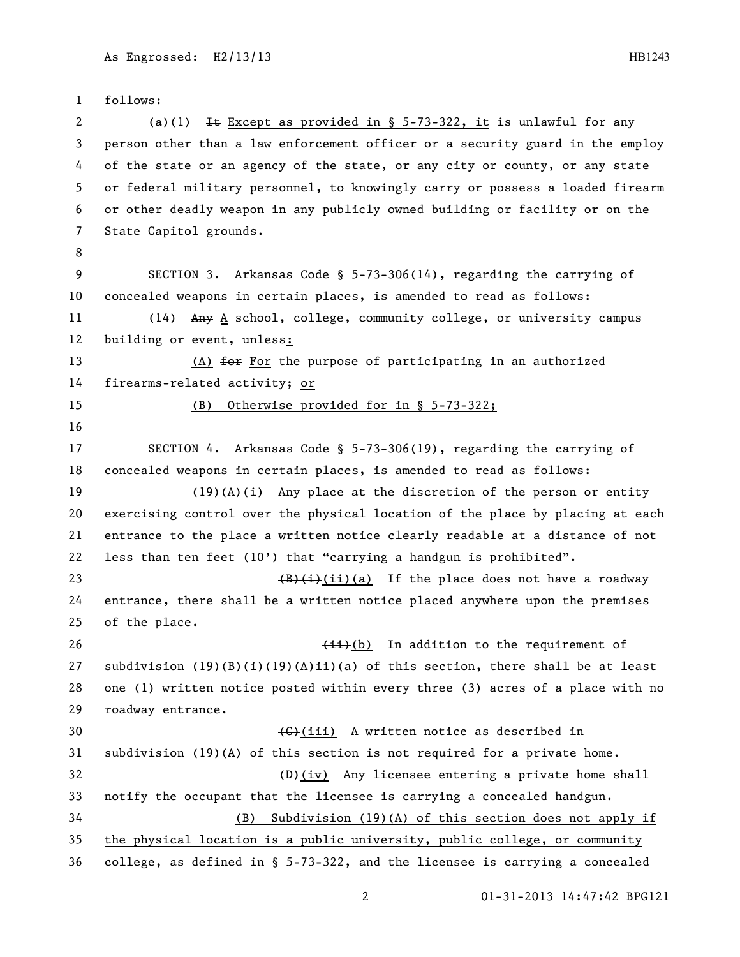follows: 2 (a)(1) It Except as provided in  $\S$  5-73-322, it is unlawful for any person other than a law enforcement officer or a security guard in the employ of the state or an agency of the state, or any city or county, or any state or federal military personnel, to knowingly carry or possess a loaded firearm or other deadly weapon in any publicly owned building or facility or on the State Capitol grounds. SECTION 3. Arkansas Code § 5-73-306(14), regarding the carrying of concealed weapons in certain places, is amended to read as follows: 11 (14) Any A school, college, community college, or university campus 12 building or event, unless: 13 (A) for the purpose of participating in an authorized firearms-related activity; or (B) Otherwise provided for in § 5-73-322; SECTION 4. Arkansas Code § 5-73-306(19), regarding the carrying of concealed weapons in certain places, is amended to read as follows: (19)(A)(i) Any place at the discretion of the person or entity exercising control over the physical location of the place by placing at each entrance to the place a written notice clearly readable at a distance of not 22 less than ten feet  $(10')$  that "carrying a handgun is prohibited".  $\left(\frac{B}{i}\right)(i)(a)$  If the place does not have a roadway entrance, there shall be a written notice placed anywhere upon the premises of the place.  $\overline{\text{4i}}$  (b) In addition to the requirement of 27 subdivision  $(19)(B)(i)(19)(A)$ ii)(a) of this section, there shall be at least one (1) written notice posted within every three (3) acres of a place with no roadway entrance. 30 (G)(iii) A written notice as described in subdivision (19)(A) of this section is not required for a private home.  $\left(\frac{D}{D}\right)(iv)$  Any licensee entering a private home shall notify the occupant that the licensee is carrying a concealed handgun. (B) Subdivision (19)(A) of this section does not apply if the physical location is a public university, public college, or community college, as defined in § 5-73-322, and the licensee is carrying a concealed

01-31-2013 14:47:42 BPG121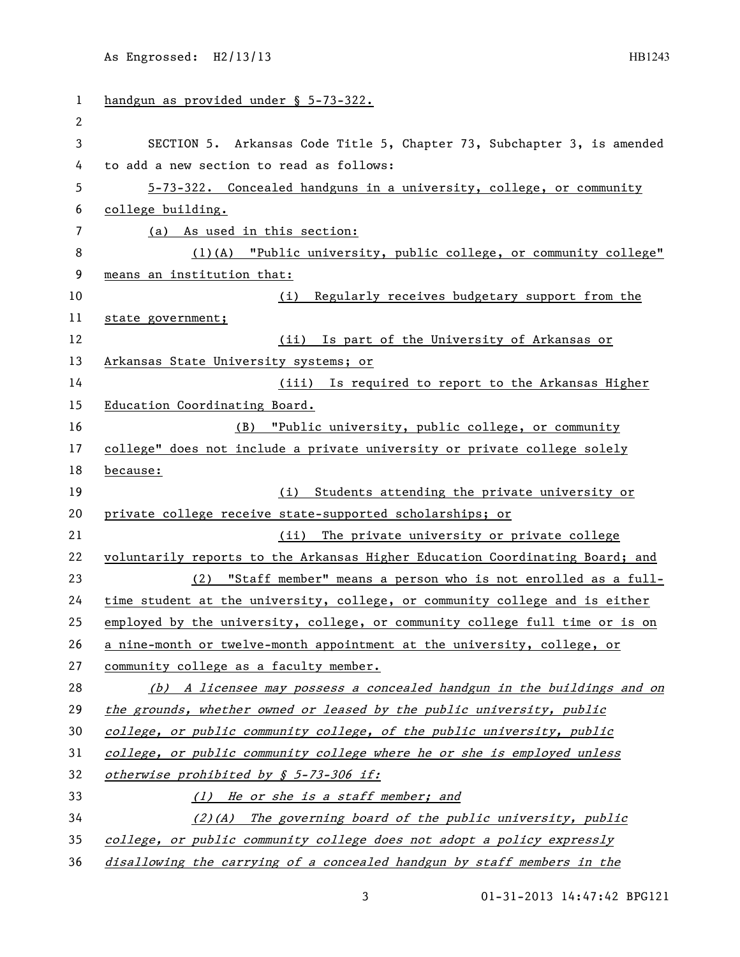| 1   | handgun as provided under § 5-73-322.                                         |  |  |
|-----|-------------------------------------------------------------------------------|--|--|
| 2   |                                                                               |  |  |
| 3   | SECTION 5. Arkansas Code Title 5, Chapter 73, Subchapter 3, is amended        |  |  |
| 4   | to add a new section to read as follows:                                      |  |  |
| 5   | 5-73-322. Concealed handguns in a university, college, or community           |  |  |
| 6   | college building.                                                             |  |  |
| 7   | (a) As used in this section:                                                  |  |  |
| 8   | (1)(A) "Public university, public college, or community college"              |  |  |
| 9   | means an institution that:                                                    |  |  |
| 10  | Regularly receives budgetary support from the<br>(i)                          |  |  |
| 11  | state government;                                                             |  |  |
| 12  | (ii) Is part of the University of Arkansas or                                 |  |  |
| 13  | Arkansas State University systems; or                                         |  |  |
| 14  | (iii) Is required to report to the Arkansas Higher                            |  |  |
| 15  | Education Coordinating Board.                                                 |  |  |
| 16  | (B) "Public university, public college, or community                          |  |  |
| 17  | college" does not include a private university or private college solely      |  |  |
| 18  | because:                                                                      |  |  |
| 19  | Students attending the private university or<br>(i)                           |  |  |
| 20  | private college receive state-supported scholarships; or                      |  |  |
| 21  | (ii) The private university or private college                                |  |  |
| 22  | voluntarily reports to the Arkansas Higher Education Coordinating Board; and  |  |  |
| 23  | (2) "Staff member" means a person who is not enrolled as a full-              |  |  |
| 24  | time student at the university, college, or community college and is either   |  |  |
| 25  | employed by the university, college, or community college full time or is on  |  |  |
| 26  | a nine-month or twelve-month appointment at the university, college, or       |  |  |
| 27  | community college as a faculty member.                                        |  |  |
| 28  | (b) A licensee may possess a concealed handgun in the buildings and on        |  |  |
| 29  | the grounds, whether owned or leased by the public university, public         |  |  |
| 30  | college, or public community college, of the public university, public        |  |  |
| 31  | college, or public community college where he or she is employed unless       |  |  |
| 32  | otherwise prohibited by § 5-73-306 if:                                        |  |  |
| 33  | (1) He or she is a staff member; and                                          |  |  |
| 34  | (2)(A) The governing board of the public university, public                   |  |  |
| 35  | college, or public community college does not adopt a policy expressly        |  |  |
| 3 L | $dical division$ the estruing of a consecuted bendaup by staff members in the |  |  |

36 disallowing the carrying of a concealed handgun by staff members in the

3 01-31-2013 14:47:42 BPG121